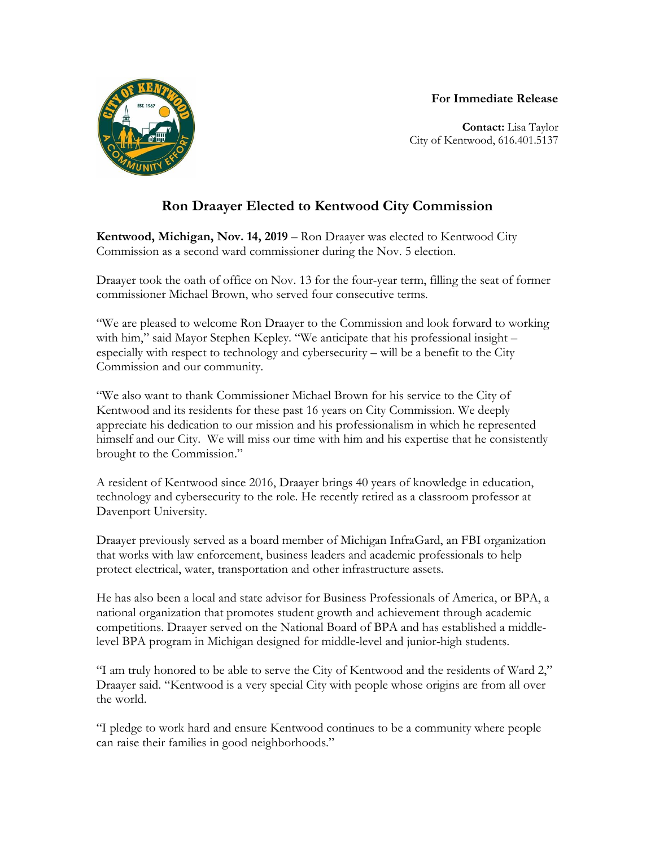## **For Immediate Release**



**Contact:** Lisa Taylor City of Kentwood, 616.401.5137

## **Ron Draayer Elected to Kentwood City Commission**

**Kentwood, Michigan, Nov. 14, 2019** – Ron Draayer was elected to Kentwood City Commission as a second ward commissioner during the Nov. 5 election.

Draayer took the oath of office on Nov. 13 for the four-year term, filling the seat of former commissioner Michael Brown, who served four consecutive terms.

"We are pleased to welcome Ron Draayer to the Commission and look forward to working with him," said Mayor Stephen Kepley. "We anticipate that his professional insight especially with respect to technology and cybersecurity – will be a benefit to the City Commission and our community.

"We also want to thank Commissioner Michael Brown for his service to the City of Kentwood and its residents for these past 16 years on City Commission. We deeply appreciate his dedication to our mission and his professionalism in which he represented himself and our City. We will miss our time with him and his expertise that he consistently brought to the Commission."

A resident of Kentwood since 2016, Draayer brings 40 years of knowledge in education, technology and cybersecurity to the role. He recently retired as a classroom professor at Davenport University.

Draayer previously served as a board member of Michigan InfraGard, an FBI organization that works with law enforcement, business leaders and academic professionals to help protect electrical, water, transportation and other infrastructure assets.

He has also been a local and state advisor for Business Professionals of America, or BPA, a national organization that promotes student growth and achievement through academic competitions. Draayer served on the National Board of BPA and has established a middlelevel BPA program in Michigan designed for middle-level and junior-high students.

"I am truly honored to be able to serve the City of Kentwood and the residents of Ward 2," Draayer said. "Kentwood is a very special City with people whose origins are from all over the world.

"I pledge to work hard and ensure Kentwood continues to be a community where people can raise their families in good neighborhoods."